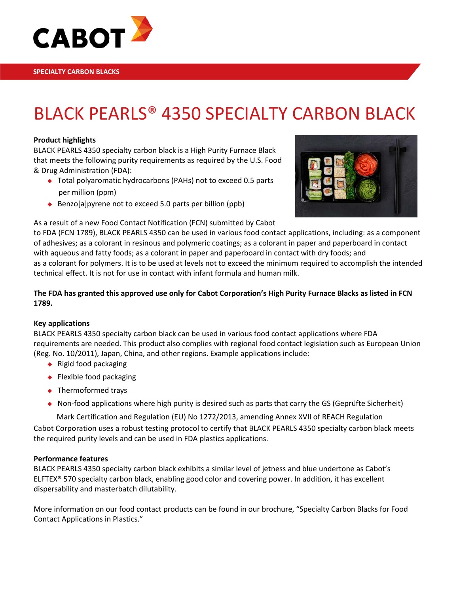

# BLACK PEARLS® 4350 SPECIALTY CARBON BLACK

### **Product highlights**

BLACK PEARLS 4350 specialty carbon black is a High Purity Furnace Black that meets the following purity requirements as required by the U.S. Food & Drug Administration (FDA):

- ◆ Total polyaromatic hydrocarbons (PAHs) not to exceed 0.5 parts per million (ppm)
- Benzo[a] pyrene not to exceed 5.0 parts per billion (ppb)



As a result of a new Food Contact Notification (FCN) submitted by Cabot

to FDA (FCN 1789), BLACK PEARLS 4350 can be used in various food contact applications, including: as a component of adhesives; as a colorant in resinous and polymeric coatings; as a colorant in paper and paperboard in contact with aqueous and fatty foods; as a colorant in paper and paperboard in contact with dry foods; and as a colorant for polymers. It is to be used at levels not to exceed the minimum required to accomplish the intended technical effect. It is not for use in contact with infant formula and human milk.

### **The FDA has granted this approved use only for Cabot Corporation's High Purity Furnace Blacks as listed in FCN 1789.**

### **Key applications**

BLACK PEARLS 4350 specialty carbon black can be used in various food contact applications where FDA requirements are needed. This product also complies with regional food contact legislation such as European Union (Reg. No. 10/2011), Japan, China, and other regions. Example applications include:

- $\bullet$  Rigid food packaging
- ◆ Flexible food packaging
- ◆ Thermoformed trays
- Non-food applications where high purity is desired such as parts that carry the GS (Geprüfte Sicherheit)

Mark Certification and Regulation (EU) No 1272/2013, amending Annex XVII of REACH Regulation

Cabot Corporation uses a robust testing protocol to certify that BLACK PEARLS 4350 specialty carbon black meets the required purity levels and can be used in FDA plastics applications.

### **Performance features**

BLACK PEARLS 4350 specialty carbon black exhibits a similar level of jetness and blue undertone as Cabot's ELFTEX® 570 specialty carbon black, enabling good color and covering power. In addition, it has excellent dispersability and masterbatch dilutability.

More information on our food contact products can be found in our brochure, "Specialty Carbon Blacks for Food Contact Applications in Plastics."